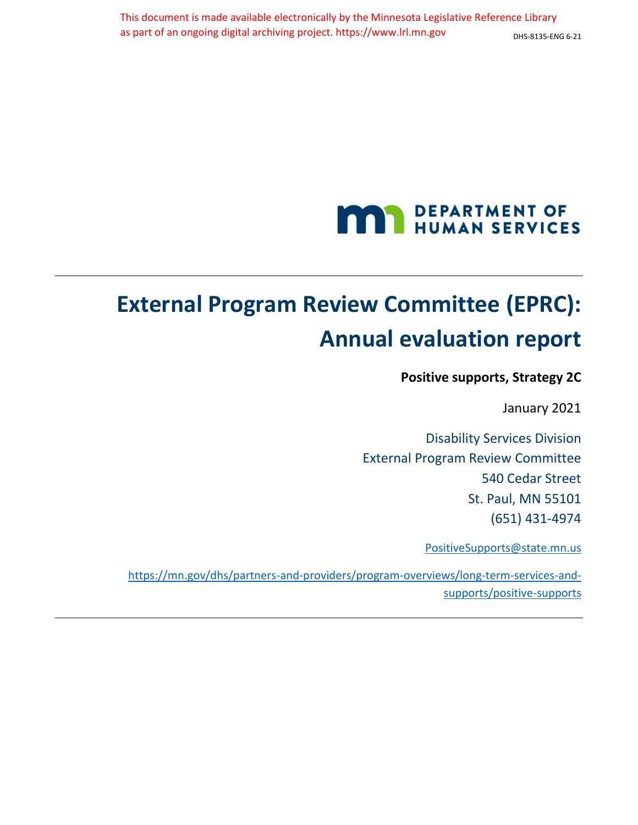# **MAN DEPARTMENT OF** HUMAN SERVICES

# <span id="page-0-0"></span>**External Program Review Committee (EPRC): Annual evaluation report**

**Positive supports, Strategy 2C** 

January 2021

Disability Services Division External Program Review Committee 540 Cedar Street St. Paul, MN 55101 (651) 431-4974

PositiveSupports@state.mn.us

https://mn.gov/dhs/partners-and-providers/program-overviews/long-term-services-andsupports/positive-supports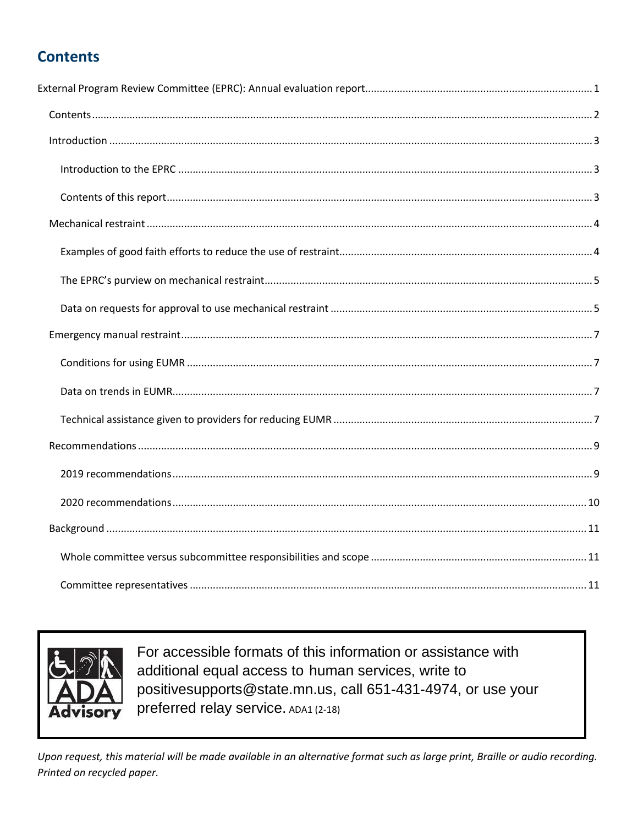# <span id="page-1-0"></span>**Contents**



For accessible formats of this information or assistance with additional equal access to human services, write to positivesupports@state.mn.us, call 651-431-4974, or use your preferred relay service. ADA1 (2-18)

Upon request, this material will be made available in an alternative format such as large print, Braille or audio recording. Printed on recycled paper.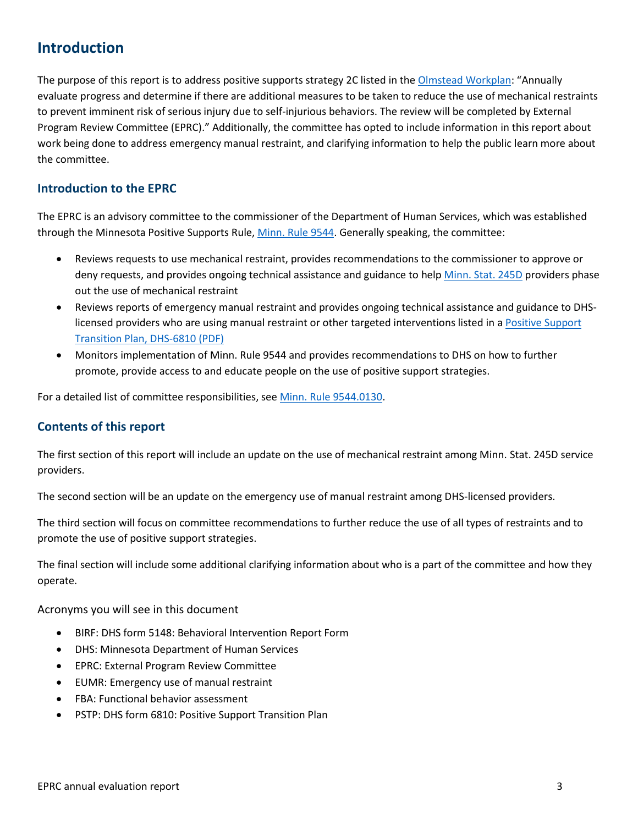# <span id="page-2-0"></span>**Introduction**

The purpose of this report is to address positive supports strategy 2C listed in the [Olmstead Workplan](https://mn.gov/olmstead/mn-olmstead-plan-documents/plan-documents-reports/): "Annually evaluate progress and determine if there are additional measures to be taken to reduce the use of mechanical restraints to prevent imminent risk of serious injury due to self-injurious behaviors. The review will be completed by External Program Review Committee (EPRC)." Additionally, the committee has opted to include information in this report about work being done to address emergency manual restraint, and clarifying information to help the public learn more about the committee.

#### <span id="page-2-1"></span>**Introduction to the EPRC**

The EPRC is an advisory committee to the commissioner of the Department of Human Services, which was established through the Minnesota Positive Supports Rule, [Minn. Rule 9544.](https://www.revisor.mn.gov/rules/9544/) Generally speaking, the committee:

- Reviews requests to use mechanical restraint, provides recommendations to the commissioner to approve or deny requests, and provides ongoing technical assistance and guidance to help [Minn. Stat. 245D](https://www.revisor.mn.gov/statutes/cite/245D) providers phase out the use of mechanical restraint
- Reviews reports of emergency manual restraint and provides ongoing technical assistance and guidance to DHSlicensed providers who are using manual restraint or other targeted interventions listed in a [Positive Support](https://edocs.dhs.state.mn.us/lfserver/Public/DHS-6810-ENG)  [Transition Plan, DHS-6810 \(PDF\)](https://edocs.dhs.state.mn.us/lfserver/Public/DHS-6810-ENG)
- Monitors implementation of Minn. Rule 9544 and provides recommendations to DHS on how to further promote, provide access to and educate people on the use of positive support strategies.

For a detailed list of committee responsibilities, se[e Minn. Rule 9544.0130.](https://www.revisor.mn.gov/rules/9544.0130/)

#### <span id="page-2-2"></span>**Contents of this report**

The first section of this report will include an update on the use of mechanical restraint among Minn. Stat. 245D service providers.

The second section will be an update on the emergency use of manual restraint among DHS-licensed providers.

The third section will focus on committee recommendations to further reduce the use of all types of restraints and to promote the use of positive support strategies.

The final section will include some additional clarifying information about who is a part of the committee and how they operate.

Acronyms you will see in this document

- BIRF: DHS form 5148: Behavioral Intervention Report Form
- DHS: Minnesota Department of Human Services
- EPRC: External Program Review Committee
- EUMR: Emergency use of manual restraint
- FBA: Functional behavior assessment
- PSTP: DHS form 6810: Positive Support Transition Plan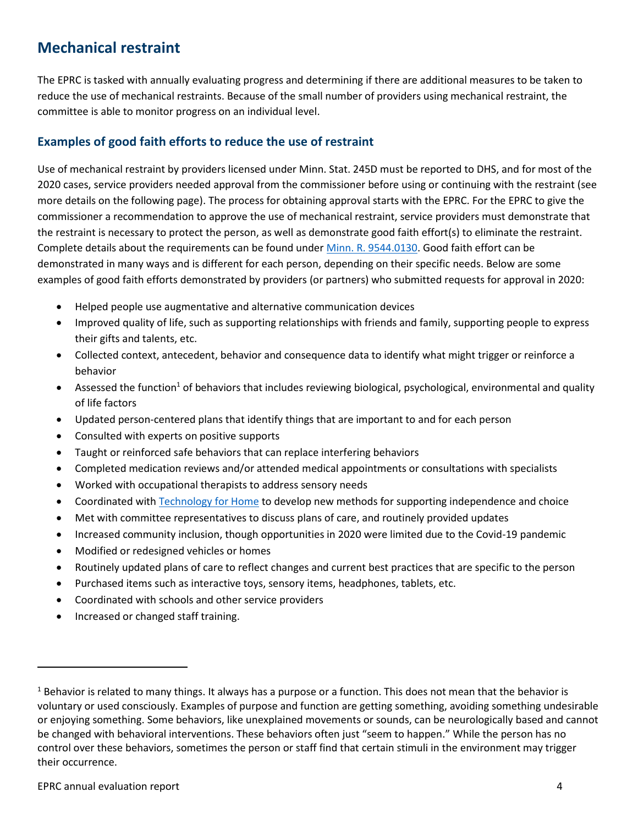# <span id="page-3-0"></span>**Mechanical restraint**

The EPRC is tasked with annually evaluating progress and determining if there are additional measures to be taken to reduce the use of mechanical restraints. Because of the small number of providers using mechanical restraint, the committee is able to monitor progress on an individual level.

#### <span id="page-3-1"></span>**Examples of good faith efforts to reduce the use of restraint**

Use of mechanical restraint by providers licensed under Minn. Stat. 245D must be reported to DHS, and for most of the 2020 cases, service providers needed approval from the commissioner before using or continuing with the restraint (see more details on the following page). The process for obtaining approval starts with the EPRC. For the EPRC to give the commissioner a recommendation to approve the use of mechanical restraint, service providers must demonstrate that the restraint is necessary to protect the person, as well as demonstrate good faith effort(s) to eliminate the restraint. Complete details about the requirements can be found under [Minn. R. 9544.0130.](https://www.revisor.mn.gov/rules/9544.0130/) Good faith effort can be demonstrated in many ways and is different for each person, depending on their specific needs. Below are some examples of good faith efforts demonstrated by providers (or partners) who submitted requests for approval in 2020:

- Helped people use augmentative and alternative communication devices
- Improved quality of life, such as supporting relationships with friends and family, supporting people to express their gifts and talents, etc.
- Collected context, antecedent, behavior and consequence data to identify what might trigger or reinforce a behavior
- Assessed the function<sup>1</sup> of behaviors that includes reviewing biological, psychological, environmental and quality of life factors
- Updated person-centered plans that identify things that are important to and for each person
- Consulted with experts on positive supports
- Taught or reinforced safe behaviors that can replace interfering behaviors
- Completed medication reviews and/or attended medical appointments or consultations with specialists
- Worked with occupational therapists to address sensory needs
- Coordinated wit[h Technology for Home](https://technologyforhome.org/) to develop new methods for supporting independence and choice
- Met with committee representatives to discuss plans of care, and routinely provided updates
- Increased community inclusion, though opportunities in 2020 were limited due to the Covid-19 pandemic
- Modified or redesigned vehicles or homes
- Routinely updated plans of care to reflect changes and current best practices that are specific to the person
- Purchased items such as interactive toys, sensory items, headphones, tablets, etc.
- Coordinated with schools and other service providers
- Increased or changed staff training.

 $\overline{\phantom{a}}$ 

 $1$  Behavior is related to many things. It always has a purpose or a function. This does not mean that the behavior is voluntary or used consciously. Examples of purpose and function are getting something, avoiding something undesirable or enjoying something. Some behaviors, like unexplained movements or sounds, can be neurologically based and cannot be changed with behavioral interventions. These behaviors often just "seem to happen." While the person has no control over these behaviors, sometimes the person or staff find that certain stimuli in the environment may trigger their occurrence.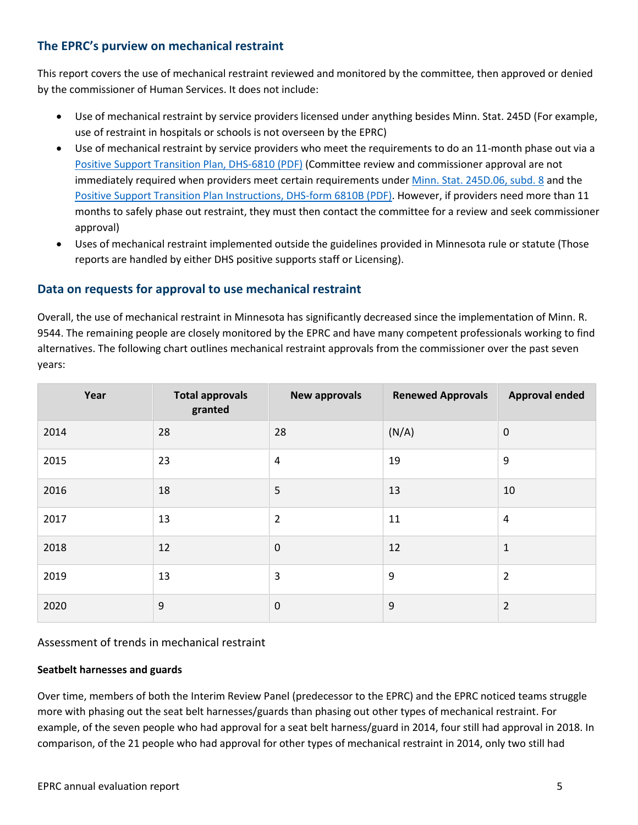#### <span id="page-4-0"></span>**The EPRC's purview on mechanical restraint**

This report covers the use of mechanical restraint reviewed and monitored by the committee, then approved or denied by the commissioner of Human Services. It does not include:

- Use of mechanical restraint by service providers licensed under anything besides Minn. Stat. 245D (For example, use of restraint in hospitals or schools is not overseen by the EPRC)
- Use of mechanical restraint by service providers who meet the requirements to do an 11-month phase out via a [Positive Support Transition Plan, DHS-6810 \(PDF\)](https://edocs.dhs.state.mn.us/lfserver/Public/DHS-6810-ENG) (Committee review and commissioner approval are not immediately required when providers meet certain requirements unde[r Minn. Stat. 245D.06, subd. 8](https://www.revisor.mn.gov/statutes/cite/245D.06) and the [Positive Support Transition Plan Instructions, DHS-form 6810B \(PDF\).](https://edocs.dhs.state.mn.us/lfserver/Public/DHS-6810B-ENG) However, if providers need more than 11 months to safely phase out restraint, they must then contact the committee for a review and seek commissioner approval)
- Uses of mechanical restraint implemented outside the guidelines provided in Minnesota rule or statute (Those reports are handled by either DHS positive supports staff or Licensing).

#### <span id="page-4-1"></span>**Data on requests for approval to use mechanical restraint**

Overall, the use of mechanical restraint in Minnesota has significantly decreased since the implementation of Minn. R. 9544. The remaining people are closely monitored by the EPRC and have many competent professionals working to find alternatives. The following chart outlines mechanical restraint approvals from the commissioner over the past seven years:

| Year | <b>Total approvals</b><br>granted | <b>New approvals</b> | <b>Renewed Approvals</b> | <b>Approval ended</b> |
|------|-----------------------------------|----------------------|--------------------------|-----------------------|
| 2014 | 28                                | 28                   | (N/A)                    | $\mathbf 0$           |
| 2015 | 23                                | $\overline{4}$       | 19                       | 9                     |
| 2016 | 18                                | 5                    | 13                       | 10                    |
| 2017 | 13                                | $\overline{2}$       | 11                       | $\overline{4}$        |
| 2018 | 12                                | $\mathbf 0$          | 12                       | $\mathbf 1$           |
| 2019 | 13                                | 3                    | 9                        | $\overline{2}$        |
| 2020 | 9                                 | $\mathbf 0$          | 9                        | $\overline{2}$        |

#### Assessment of trends in mechanical restraint

#### **Seatbelt harnesses and guards**

Over time, members of both the Interim Review Panel (predecessor to the EPRC) and the EPRC noticed teams struggle more with phasing out the seat belt harnesses/guards than phasing out other types of mechanical restraint. For example, of the seven people who had approval for a seat belt harness/guard in 2014, four still had approval in 2018. In comparison, of the 21 people who had approval for other types of mechanical restraint in 2014, only two still had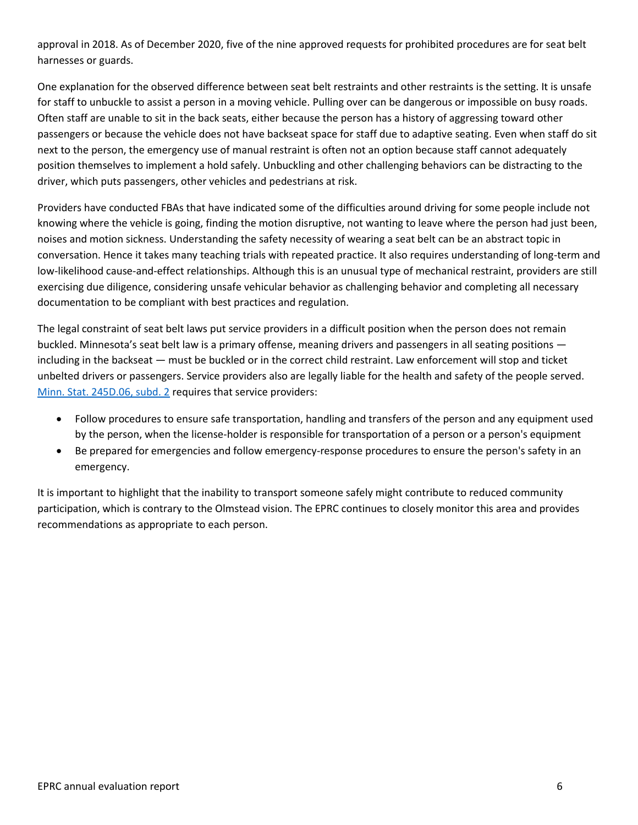approval in 2018. As of December 2020, five of the nine approved requests for prohibited procedures are for seat belt harnesses or guards.

One explanation for the observed difference between seat belt restraints and other restraints is the setting. It is unsafe for staff to unbuckle to assist a person in a moving vehicle. Pulling over can be dangerous or impossible on busy roads. Often staff are unable to sit in the back seats, either because the person has a history of aggressing toward other passengers or because the vehicle does not have backseat space for staff due to adaptive seating. Even when staff do sit next to the person, the emergency use of manual restraint is often not an option because staff cannot adequately position themselves to implement a hold safely. Unbuckling and other challenging behaviors can be distracting to the driver, which puts passengers, other vehicles and pedestrians at risk.

Providers have conducted FBAs that have indicated some of the difficulties around driving for some people include not knowing where the vehicle is going, finding the motion disruptive, not wanting to leave where the person had just been, noises and motion sickness. Understanding the safety necessity of wearing a seat belt can be an abstract topic in conversation. Hence it takes many teaching trials with repeated practice. It also requires understanding of long-term and low-likelihood cause-and-effect relationships. Although this is an unusual type of mechanical restraint, providers are still exercising due diligence, considering unsafe vehicular behavior as challenging behavior and completing all necessary documentation to be compliant with best practices and regulation.

The legal constraint of seat belt laws put service providers in a difficult position when the person does not remain buckled. Minnesota's seat belt law is a primary offense, meaning drivers and passengers in all seating positions including in the backseat — must be buckled or in the correct child restraint. Law enforcement will stop and ticket unbelted drivers or passengers. Service providers also are legally liable for the health and safety of the people served. [Minn. Stat. 245D.06, subd. 2](https://www.revisor.mn.gov/statutes/cite/245D.06) requires that service providers:

- Follow procedures to ensure safe transportation, handling and transfers of the person and any equipment used by the person, when the license-holder is responsible for transportation of a person or a person's equipment
- Be prepared for emergencies and follow emergency-response procedures to ensure the person's safety in an emergency.

It is important to highlight that the inability to transport someone safely might contribute to reduced community participation, which is contrary to the Olmstead vision. The EPRC continues to closely monitor this area and provides recommendations as appropriate to each person.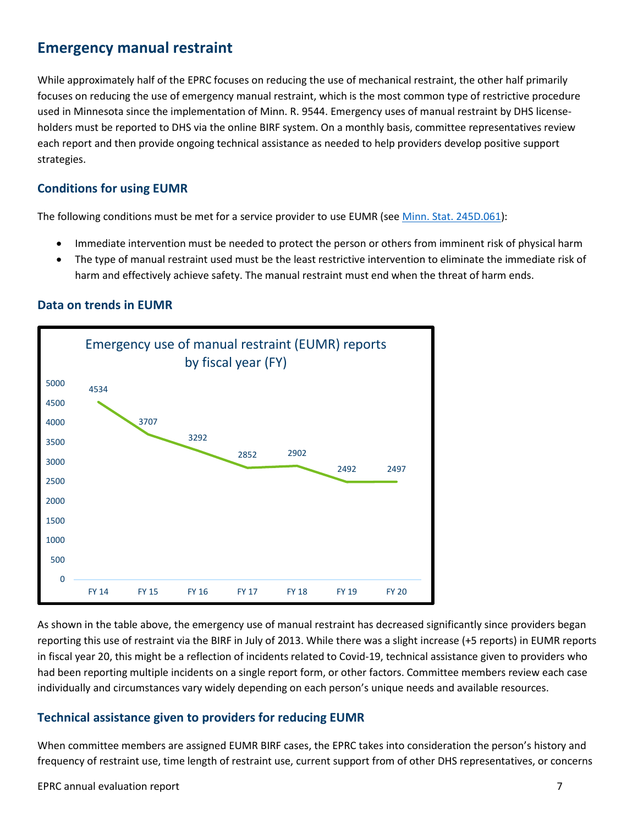### <span id="page-6-0"></span>**Emergency manual restraint**

While approximately half of the EPRC focuses on reducing the use of mechanical restraint, the other half primarily focuses on reducing the use of emergency manual restraint, which is the most common type of restrictive procedure used in Minnesota since the implementation of Minn. R. 9544. Emergency uses of manual restraint by DHS licenseholders must be reported to DHS via the online BIRF system. On a monthly basis, committee representatives review each report and then provide ongoing technical assistance as needed to help providers develop positive support strategies.

#### <span id="page-6-1"></span>**Conditions for using EUMR**

The following conditions must be met for a service provider to use EUMR (see [Minn. Stat. 245D.061\)](https://www.revisor.mn.gov/statutes/cite/245D.061):

- Immediate intervention must be needed to protect the person or others from imminent risk of physical harm
- The type of manual restraint used must be the least restrictive intervention to eliminate the immediate risk of harm and effectively achieve safety. The manual restraint must end when the threat of harm ends.

#### <span id="page-6-2"></span>**Data on trends in EUMR**



As shown in the table above, the emergency use of manual restraint has decreased significantly since providers began reporting this use of restraint via the BIRF in July of 2013. While there was a slight increase (+5 reports) in EUMR reports in fiscal year 20, this might be a reflection of incidents related to Covid-19, technical assistance given to providers who had been reporting multiple incidents on a single report form, or other factors. Committee members review each case individually and circumstances vary widely depending on each person's unique needs and available resources.

#### <span id="page-6-3"></span>**Technical assistance given to providers for reducing EUMR**

When committee members are assigned EUMR BIRF cases, the EPRC takes into consideration the person's history and frequency of restraint use, time length of restraint use, current support from of other DHS representatives, or concerns

#### EPRC annual evaluation report 7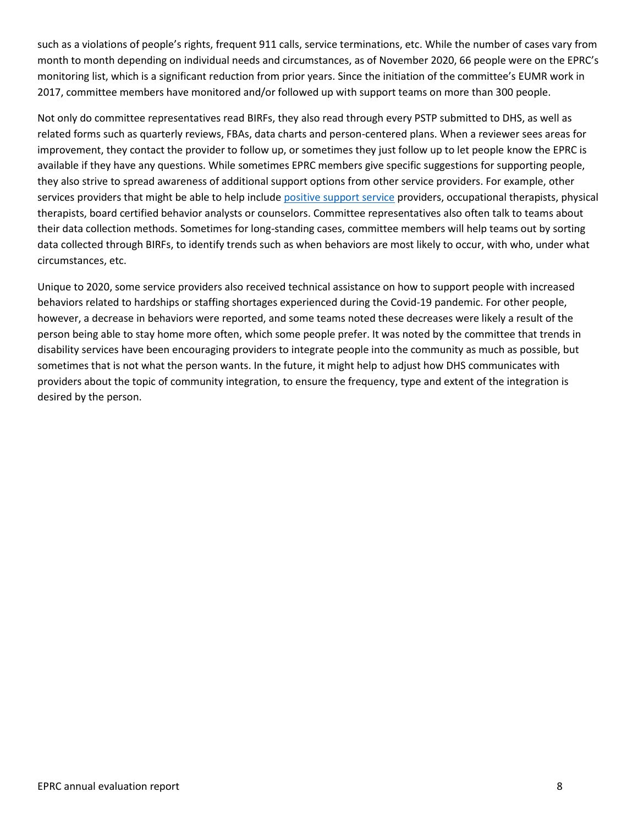such as a violations of people's rights, frequent 911 calls, service terminations, etc. While the number of cases vary from month to month depending on individual needs and circumstances, as of November 2020, 66 people were on the EPRC's monitoring list, which is a significant reduction from prior years. Since the initiation of the committee's EUMR work in 2017, committee members have monitored and/or followed up with support teams on more than 300 people.

Not only do committee representatives read BIRFs, they also read through every PSTP submitted to DHS, as well as related forms such as quarterly reviews, FBAs, data charts and person-centered plans. When a reviewer sees areas for improvement, they contact the provider to follow up, or sometimes they just follow up to let people know the EPRC is available if they have any questions. While sometimes EPRC members give specific suggestions for supporting people, they also strive to spread awareness of additional support options from other service providers. For example, other services providers that might be able to help includ[e positive support service](https://www.dhs.state.mn.us/main/idcplg?IdcService=GET_DYNAMIC_CONVERSION&RevisionSelectionMethod=LatestReleased&dDocName=id_002443) providers, occupational therapists, physical therapists, board certified behavior analysts or counselors. Committee representatives also often talk to teams about their data collection methods. Sometimes for long-standing cases, committee members will help teams out by sorting data collected through BIRFs, to identify trends such as when behaviors are most likely to occur, with who, under what circumstances, etc.

Unique to 2020, some service providers also received technical assistance on how to support people with increased behaviors related to hardships or staffing shortages experienced during the Covid-19 pandemic. For other people, however, a decrease in behaviors were reported, and some teams noted these decreases were likely a result of the person being able to stay home more often, which some people prefer. It was noted by the committee that trends in disability services have been encouraging providers to integrate people into the community as much as possible, but sometimes that is not what the person wants. In the future, it might help to adjust how DHS communicates with providers about the topic of community integration, to ensure the frequency, type and extent of the integration is desired by the person.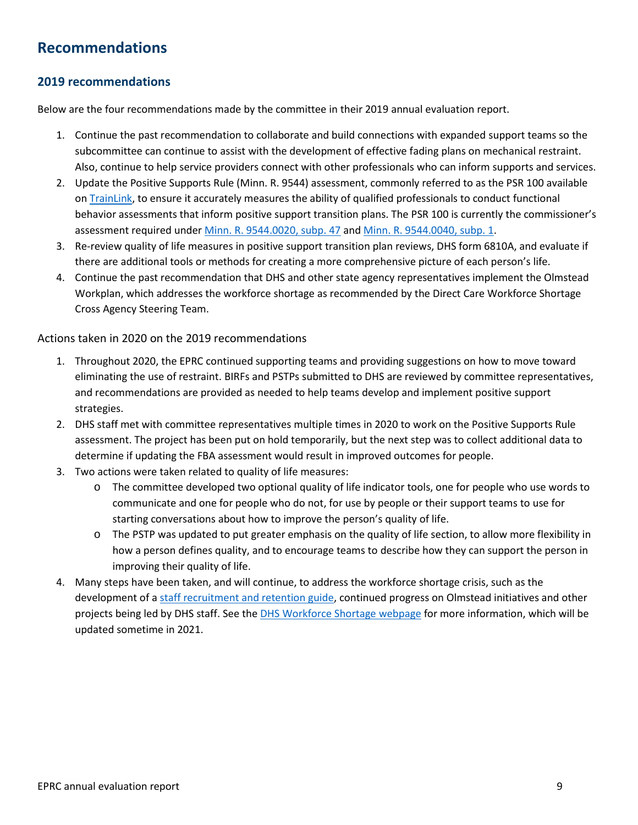# <span id="page-8-0"></span>**Recommendations**

#### <span id="page-8-1"></span>**2019 recommendations**

Below are the four recommendations made by the committee in their 2019 annual evaluation report.

- 1. Continue the past recommendation to collaborate and build connections with expanded support teams so the subcommittee can continue to assist with the development of effective fading plans on mechanical restraint. Also, continue to help service providers connect with other professionals who can inform supports and services.
- 2. Update the Positive Supports Rule (Minn. R. 9544) assessment, commonly referred to as the PSR 100 available on [TrainLink,](http://pathlore.dhs.mn.gov/stc/dsd/psciis.dll?linkid=260959&mainmenu=DSD&top_frame=1) to ensure it accurately measures the ability of qualified professionals to conduct functional behavior assessments that inform positive support transition plans. The PSR 100 is currently the commissioner's assessment required under [Minn. R. 9544.0020, subp. 47](https://www.revisor.mn.gov/rules/9544.0020/) an[d Minn. R. 9544.0040, subp. 1.](https://www.revisor.mn.gov/rules/9544.0040/)
- 3. Re-review quality of life measures in positive support transition plan reviews, DHS form 6810A, and evaluate if there are additional tools or methods for creating a more comprehensive picture of each person's life.
- 4. Continue the past recommendation that DHS and other state agency representatives implement the Olmstead Workplan, which addresses the workforce shortage as recommended by the Direct Care Workforce Shortage Cross Agency Steering Team.

#### Actions taken in 2020 on the 2019 recommendations

- 1. Throughout 2020, the EPRC continued supporting teams and providing suggestions on how to move toward eliminating the use of restraint. BIRFs and PSTPs submitted to DHS are reviewed by committee representatives, and recommendations are provided as needed to help teams develop and implement positive support strategies.
- 2. DHS staff met with committee representatives multiple times in 2020 to work on the Positive Supports Rule assessment. The project has been put on hold temporarily, but the next step was to collect additional data to determine if updating the FBA assessment would result in improved outcomes for people.
- 3. Two actions were taken related to quality of life measures:
	- o The committee developed two optional quality of life indicator tools, one for people who use words to communicate and one for people who do not, for use by people or their support teams to use for starting conversations about how to improve the person's quality of life.
	- o The PSTP was updated to put greater emphasis on the quality of life section, to allow more flexibility in how a person defines quality, and to encourage teams to describe how they can support the person in improving their quality of life.
- 4. Many steps have been taken, and will continue, to address the workforce shortage crisis, such as the development of [a staff recruitment and retention guide,](https://edocs.dhs.state.mn.us/lfserver/Public/DHS-7306-ENG) continued progress on Olmstead initiatives and other projects being led by DHS staff. See th[e DHS Workforce Shortage webpage](https://mn.gov/dhs/partners-and-providers/news-initiatives-reports-workgroups/aging/direct-care/) for more information, which will be updated sometime in 2021.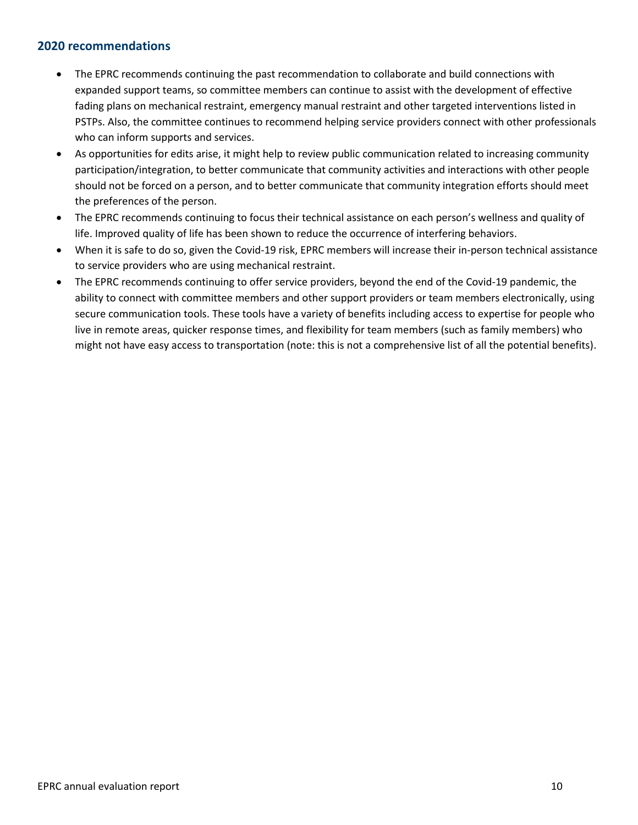#### <span id="page-9-0"></span>**2020 recommendations**

- The EPRC recommends continuing the past recommendation to collaborate and build connections with expanded support teams, so committee members can continue to assist with the development of effective fading plans on mechanical restraint, emergency manual restraint and other targeted interventions listed in PSTPs. Also, the committee continues to recommend helping service providers connect with other professionals who can inform supports and services.
- As opportunities for edits arise, it might help to review public communication related to increasing community participation/integration, to better communicate that community activities and interactions with other people should not be forced on a person, and to better communicate that community integration efforts should meet the preferences of the person.
- The EPRC recommends continuing to focus their technical assistance on each person's wellness and quality of life. Improved quality of life has been shown to reduce the occurrence of interfering behaviors.
- When it is safe to do so, given the Covid-19 risk, EPRC members will increase their in-person technical assistance to service providers who are using mechanical restraint.
- The EPRC recommends continuing to offer service providers, beyond the end of the Covid-19 pandemic, the ability to connect with committee members and other support providers or team members electronically, using secure communication tools. These tools have a variety of benefits including access to expertise for people who live in remote areas, quicker response times, and flexibility for team members (such as family members) who might not have easy access to transportation (note: this is not a comprehensive list of all the potential benefits).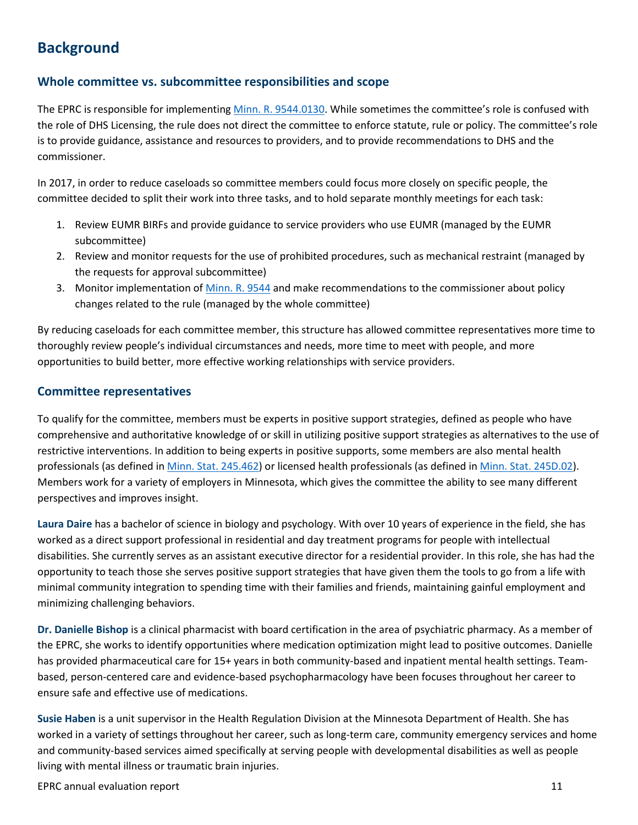# <span id="page-10-0"></span>**Background**

#### <span id="page-10-1"></span>**Whole committee vs. subcommittee responsibilities and scope**

The EPRC is responsible for implementing [Minn. R. 9544.0130.](https://www.revisor.mn.gov/rules/9544.0130/) While sometimes the committee's role is confused with the role of DHS Licensing, the rule does not direct the committee to enforce statute, rule or policy. The committee's role is to provide guidance, assistance and resources to providers, and to provide recommendations to DHS and the commissioner.

In 2017, in order to reduce caseloads so committee members could focus more closely on specific people, the committee decided to split their work into three tasks, and to hold separate monthly meetings for each task:

- 1. Review EUMR BIRFs and provide guidance to service providers who use EUMR (managed by the EUMR subcommittee)
- 2. Review and monitor requests for the use of prohibited procedures, such as mechanical restraint (managed by the requests for approval subcommittee)
- 3. Monitor implementation of [Minn. R. 9544](https://www.revisor.mn.gov/rules/9544/) and make recommendations to the commissioner about policy changes related to the rule (managed by the whole committee)

By reducing caseloads for each committee member, this structure has allowed committee representatives more time to thoroughly review people's individual circumstances and needs, more time to meet with people, and more opportunities to build better, more effective working relationships with service providers.

#### <span id="page-10-2"></span>**Committee representatives**

To qualify for the committee, members must be experts in positive support strategies, defined as people who have comprehensive and authoritative knowledge of or skill in utilizing positive support strategies as alternatives to the use of restrictive interventions. In addition to being experts in positive supports, some members are also mental health professionals (as defined i[n Minn. Stat. 245.462\)](https://www.revisor.mn.gov/statutes/cite/245.462) or licensed health professionals (as defined i[n Minn. Stat. 245D.02\)](https://www.revisor.mn.gov/statutes/cite/245D.02). Members work for a variety of employers in Minnesota, which gives the committee the ability to see many different perspectives and improves insight.

**Laura Daire** has a bachelor of science in biology and psychology. With over 10 years of experience in the field, she has worked as a direct support professional in residential and day treatment programs for people with intellectual disabilities. She currently serves as an assistant executive director for a residential provider. In this role, she has had the opportunity to teach those she serves positive support strategies that have given them the tools to go from a life with minimal community integration to spending time with their families and friends, maintaining gainful employment and minimizing challenging behaviors.

**Dr. Danielle Bishop** is a clinical pharmacist with board certification in the area of psychiatric pharmacy. As a member of the EPRC, she works to identify opportunities where medication optimization might lead to positive outcomes. Danielle has provided pharmaceutical care for 15+ years in both community-based and inpatient mental health settings. Teambased, person-centered care and evidence-based psychopharmacology have been focuses throughout her career to ensure safe and effective use of medications.

**Susie Haben** is a unit supervisor in the Health Regulation Division at the Minnesota Department of Health. She has worked in a variety of settings throughout her career, such as long-term care, community emergency services and home and community-based services aimed specifically at serving people with developmental disabilities as well as people living with mental illness or traumatic brain injuries.

EPRC annual evaluation report 11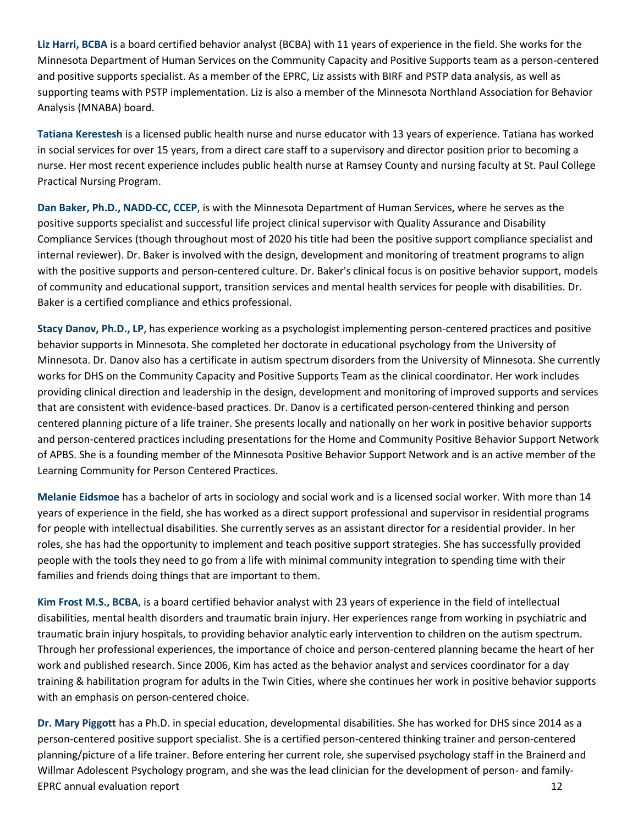**Liz Harri, BCBA** is a board certified behavior analyst (BCBA) with 11 years of experience in the field. She works for the Minnesota Department of Human Services on the Community Capacity and Positive Supports team as a person-centered and positive supports specialist. As a member of the EPRC, Liz assists with BIRF and PSTP data analysis, as well as supporting teams with PSTP implementation. Liz is also a member of the Minnesota Northland Association for Behavior Analysis (MNABA) board.

**Tatiana Kerestesh** is a licensed public health nurse and nurse educator with 13 years of experience. Tatiana has worked in social services for over 15 years, from a direct care staff to a supervisory and director position prior to becoming a nurse. Her most recent experience includes public health nurse at Ramsey County and nursing faculty at St. Paul College Practical Nursing Program.

**Dan Baker, Ph.D., NADD-CC, CCEP**, is with the Minnesota Department of Human Services, where he serves as the positive supports specialist and successful life project clinical supervisor with Quality Assurance and Disability Compliance Services (though throughout most of 2020 his title had been the positive support compliance specialist and internal reviewer). Dr. Baker is involved with the design, development and monitoring of treatment programs to align with the positive supports and person-centered culture. Dr. Baker's clinical focus is on positive behavior support, models of community and educational support, transition services and mental health services for people with disabilities. Dr. Baker is a certified compliance and ethics professional.

**Stacy Danov, Ph.D., LP**, has experience working as a psychologist implementing person-centered practices and positive behavior supports in Minnesota. She completed her doctorate in educational psychology from the University of Minnesota. Dr. Danov also has a certificate in autism spectrum disorders from the University of Minnesota. She currently works for DHS on the Community Capacity and Positive Supports Team as the clinical coordinator. Her work includes providing clinical direction and leadership in the design, development and monitoring of improved supports and services that are consistent with evidence-based practices. Dr. Danov is a certificated person-centered thinking and person centered planning picture of a life trainer. She presents locally and nationally on her work in positive behavior supports and person-centered practices including presentations for the Home and Community Positive Behavior Support Network of APBS. She is a founding member of the Minnesota Positive Behavior Support Network and is an active member of the Learning Community for Person Centered Practices.

**Melanie Eidsmoe** has a bachelor of arts in sociology and social work and is a licensed social worker. With more than 14 years of experience in the field, she has worked as a direct support professional and supervisor in residential programs for people with intellectual disabilities. She currently serves as an assistant director for a residential provider. In her roles, she has had the opportunity to implement and teach positive support strategies. She has successfully provided people with the tools they need to go from a life with minimal community integration to spending time with their families and friends doing things that are important to them.

**Kim Frost M.S., BCBA**, is a board certified behavior analyst with 23 years of experience in the field of intellectual disabilities, mental health disorders and traumatic brain injury. Her experiences range from working in psychiatric and traumatic brain injury hospitals, to providing behavior analytic early intervention to children on the autism spectrum. Through her professional experiences, the importance of choice and person-centered planning became the heart of her work and published research. Since 2006, Kim has acted as the behavior analyst and services coordinator for a day training & habilitation program for adults in the Twin Cities, where she continues her work in positive behavior supports with an emphasis on person-centered choice.

EPRC annual evaluation report 12 **Dr. Mary Piggott** has a Ph.D. in special education, developmental disabilities. She has worked for DHS since 2014 as a person-centered positive support specialist. She is a certified person-centered thinking trainer and person-centered planning/picture of a life trainer. Before entering her current role, she supervised psychology staff in the Brainerd and Willmar Adolescent Psychology program, and she was the lead clinician for the development of person- and family